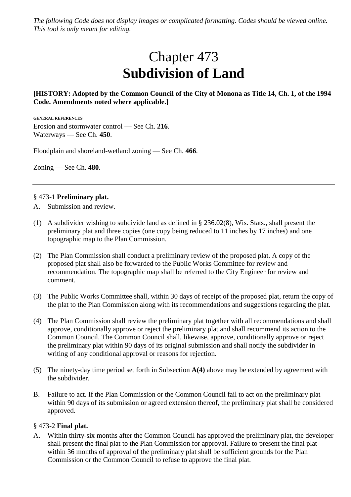*The following Code does not display images or complicated formatting. Codes should be viewed online. This tool is only meant for editing.*

# Chapter 473 **Subdivision of Land**

# **[HISTORY: Adopted by the Common Council of the City of Monona as Title 14, Ch. 1, of the 1994 Code. Amendments noted where applicable.]**

**GENERAL REFERENCES** Erosion and stormwater control — See Ch. **216**. Waterways — See Ch. **450**.

Floodplain and shoreland-wetland zoning — See Ch. **466**.

Zoning — See Ch. **480**.

#### § 473-1 **Preliminary plat.**

- A. Submission and review.
- (1) A subdivider wishing to subdivide land as defined in § 236.02(8), Wis. Stats., shall present the preliminary plat and three copies (one copy being reduced to 11 inches by 17 inches) and one topographic map to the Plan Commission.
- (2) The Plan Commission shall conduct a preliminary review of the proposed plat. A copy of the proposed plat shall also be forwarded to the Public Works Committee for review and recommendation. The topographic map shall be referred to the City Engineer for review and comment.
- (3) The Public Works Committee shall, within 30 days of receipt of the proposed plat, return the copy of the plat to the Plan Commission along with its recommendations and suggestions regarding the plat.
- (4) The Plan Commission shall review the preliminary plat together with all recommendations and shall approve, conditionally approve or reject the preliminary plat and shall recommend its action to the Common Council. The Common Council shall, likewise, approve, conditionally approve or reject the preliminary plat within 90 days of its original submission and shall notify the subdivider in writing of any conditional approval or reasons for rejection.
- (5) The ninety-day time period set forth in Subsection **A(4)** above may be extended by agreement with the subdivider.
- B. Failure to act. If the Plan Commission or the Common Council fail to act on the preliminary plat within 90 days of its submission or agreed extension thereof, the preliminary plat shall be considered approved.

#### § 473-2 **Final plat.**

A. Within thirty-six months after the Common Council has approved the preliminary plat, the developer shall present the final plat to the Plan Commission for approval. Failure to present the final plat within 36 months of approval of the preliminary plat shall be sufficient grounds for the Plan Commission or the Common Council to refuse to approve the final plat.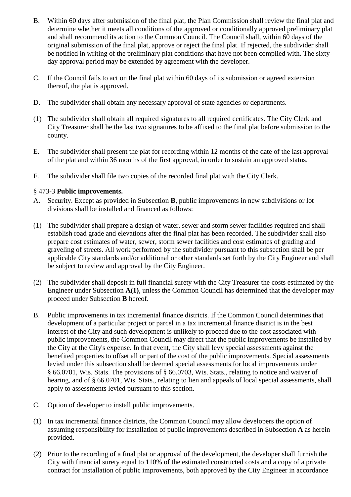- B. Within 60 days after submission of the final plat, the Plan Commission shall review the final plat and determine whether it meets all conditions of the approved or conditionally approved preliminary plat and shall recommend its action to the Common Council. The Council shall, within 60 days of the original submission of the final plat, approve or reject the final plat. If rejected, the subdivider shall be notified in writing of the preliminary plat conditions that have not been complied with. The sixtyday approval period may be extended by agreement with the developer.
- C. If the Council fails to act on the final plat within 60 days of its submission or agreed extension thereof, the plat is approved.
- D. The subdivider shall obtain any necessary approval of state agencies or departments.
- (1) The subdivider shall obtain all required signatures to all required certificates. The City Clerk and City Treasurer shall be the last two signatures to be affixed to the final plat before submission to the county.
- E. The subdivider shall present the plat for recording within 12 months of the date of the last approval of the plat and within 36 months of the first approval, in order to sustain an approved status.
- F. The subdivider shall file two copies of the recorded final plat with the City Clerk.

### § 473-3 **Public improvements.**

- A. Security. Except as provided in Subsection **B**, public improvements in new subdivisions or lot divisions shall be installed and financed as follows:
- (1) The subdivider shall prepare a design of water, sewer and storm sewer facilities required and shall establish road grade and elevations after the final plat has been recorded. The subdivider shall also prepare cost estimates of water, sewer, storm sewer facilities and cost estimates of grading and graveling of streets. All work performed by the subdivider pursuant to this subsection shall be per applicable City standards and/or additional or other standards set forth by the City Engineer and shall be subject to review and approval by the City Engineer.
- (2) The subdivider shall deposit in full financial surety with the City Treasurer the costs estimated by the Engineer under Subsection **A(1)**, unless the Common Council has determined that the developer may proceed under Subsection **B** hereof.
- B. Public improvements in tax incremental finance districts. If the Common Council determines that development of a particular project or parcel in a tax incremental finance district is in the best interest of the City and such development is unlikely to proceed due to the cost associated with public improvements, the Common Council may direct that the public improvements be installed by the City at the City's expense. In that event, the City shall levy special assessments against the benefited properties to offset all or part of the cost of the public improvements. Special assessments levied under this subsection shall be deemed special assessments for local improvements under § 66.0701, Wis. Stats. The provisions of § 66.0703, Wis. Stats., relating to notice and waiver of hearing, and of § 66.0701, Wis. Stats., relating to lien and appeals of local special assessments, shall apply to assessments levied pursuant to this section.
- C. Option of developer to install public improvements.
- (1) In tax incremental finance districts, the Common Council may allow developers the option of assuming responsibility for installation of public improvements described in Subsection **A** as herein provided.
- (2) Prior to the recording of a final plat or approval of the development, the developer shall furnish the City with financial surety equal to 110% of the estimated constructed costs and a copy of a private contract for installation of public improvements, both approved by the City Engineer in accordance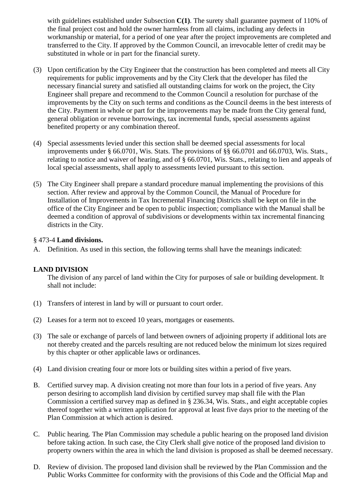with guidelines established under Subsection C(1). The surety shall guarantee payment of 110% of the final project cost and hold the owner harmless from all claims, including any defects in workmanship or material, for a period of one year after the project improvements are completed and transferred to the City. If approved by the Common Council, an irrevocable letter of credit may be substituted in whole or in part for the financial surety.

- (3) Upon certification by the City Engineer that the construction has been completed and meets all City requirements for public improvements and by the City Clerk that the developer has filed the necessary financial surety and satisfied all outstanding claims for work on the project, the City Engineer shall prepare and recommend to the Common Council a resolution for purchase of the improvements by the City on such terms and conditions as the Council deems in the best interests of the City. Payment in whole or part for the improvements may be made from the City general fund, general obligation or revenue borrowings, tax incremental funds, special assessments against benefited property or any combination thereof.
- (4) Special assessments levied under this section shall be deemed special assessments for local improvements under § 66.0701, Wis. Stats. The provisions of §§ 66.0701 and 66.0703, Wis. Stats., relating to notice and waiver of hearing, and of § 66.0701, Wis. Stats., relating to lien and appeals of local special assessments, shall apply to assessments levied pursuant to this section.
- (5) The City Engineer shall prepare a standard procedure manual implementing the provisions of this section. After review and approval by the Common Council, the Manual of Procedure for Installation of Improvements in Tax Incremental Financing Districts shall be kept on file in the office of the City Engineer and be open to public inspection; compliance with the Manual shall be deemed a condition of approval of subdivisions or developments within tax incremental financing districts in the City.

### § 473-4 **Land divisions.**

A. Definition. As used in this section, the following terms shall have the meanings indicated:

# **LAND DIVISION**

The division of any parcel of land within the City for purposes of sale or building development. It shall not include:

- (1) Transfers of interest in land by will or pursuant to court order.
- (2) Leases for a term not to exceed 10 years, mortgages or easements.
- (3) The sale or exchange of parcels of land between owners of adjoining property if additional lots are not thereby created and the parcels resulting are not reduced below the minimum lot sizes required by this chapter or other applicable laws or ordinances.
- (4) Land division creating four or more lots or building sites within a period of five years.
- B. Certified survey map. A division creating not more than four lots in a period of five years. Any person desiring to accomplish land division by certified survey map shall file with the Plan Commission a certified survey map as defined in § 236.34, Wis. Stats., and eight acceptable copies thereof together with a written application for approval at least five days prior to the meeting of the Plan Commission at which action is desired.
- C. Public hearing. The Plan Commission may schedule a public hearing on the proposed land division before taking action. In such case, the City Clerk shall give notice of the proposed land division to property owners within the area in which the land division is proposed as shall be deemed necessary.
- D. Review of division. The proposed land division shall be reviewed by the Plan Commission and the Public Works Committee for conformity with the provisions of this Code and the Official Map and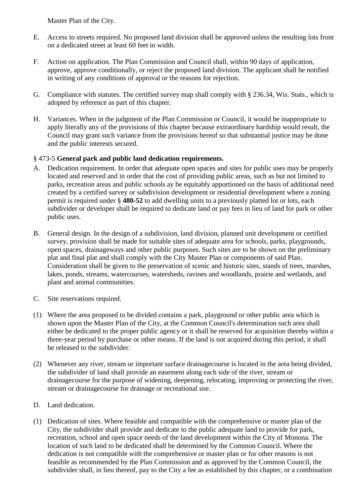Master Plan of the City.

- E. Access to streets required. No proposed land division shall be approved unless the resulting lots front on a dedicated street at least 60 feet in width.
- F. Action on application. The Plan Commission and Council shall, within 90 days of application, approve, approve conditionally, or reject the proposed land division. The applicant shall be notified in writing of any conditions of approval or the reasons for rejection.
- G. Compliance with statutes. The certified survey map shall comply with § 236.34, Wis. Stats., which is adopted by reference as part of this chapter.
- H. Variances. When in the judgment of the Plan Commission or Council, it would be inappropriate to apply literally any of the provisions of this chapter because extraordinary hardship would result, the Council may grant such variance from the provisions hereof so that substantial justice may be done and the public interests secured.

# § 473-5 **General park and public land dedication requirements.**

- A. Dedication requirement. In order that adequate open spaces and sites for public uses may be properly located and reserved and in order that the cost of providing public areas, such as but not limited to parks, recreation areas and public schools ay be equitably apportioned on the basis of additional need created by a certified survey or subdivision development or residential development where a zoning permit is required under § **480-52** to add dwelling units to a previously platted lot or lots, each subdivider or developer shall be required to dedicate land or pay fees in lieu of land for park or other public uses.
- B. General design. In the design of a subdivision, land division, planned unit development or certified survey, provision shall be made for suitable sites of adequate area for schools, parks, playgrounds, open spaces, drainageways and other public purposes. Such sites are to be shown on the preliminary plat and final plat and shall comply with the City Master Plan or components of said Plan. Consideration shall be given to the preservation of scenic and historic sites, stands of trees, marshes, lakes, ponds, streams, watercourses, watersheds, ravines and woodlands, prairie and wetlands, and plant and animal communities.
- C. Site reservations required.
- (1) Where the area proposed to be divided contains a park, playground or other public area which is shown upon the Master Plan of the City, at the Common Council's determination such area shall either be dedicated to the proper public agency or it shall be reserved for acquisition thereby within a three-year period by purchase or other means. If the land is not acquired during this period, it shall be released to the subdivider.
- (2) Whenever any river, stream or important surface drainagecourse is located in the area being divided, the subdivider of land shall provide an easement along each side of the river, stream or drainagecourse for the purpose of widening, deepening, relocating, improving or protecting the river, stream or drainagecourse for drainage or recreational use.
- D. Land dedication.
- (1) Dedication of sites. Where feasible and compatible with the comprehensive or master plan of the City, the subdivider shall provide and dedicate to the public adequate land to provide for park, recreation, school and open space needs of the land development within the City of Monona. The location of such land to be dedicated shall be determined by the Common Council. Where the dedication is not compatible with the comprehensive or master plan or for other reasons is not feasible as recommended by the Plan Commission and as approved by the Common Council, the subdivider shall, in lieu thereof, pay to the City a fee as established by this chapter, or a combination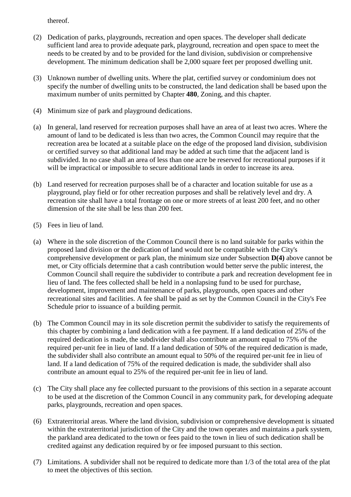thereof.

- (2) Dedication of parks, playgrounds, recreation and open spaces. The developer shall dedicate sufficient land area to provide adequate park, playground, recreation and open space to meet the needs to be created by and to be provided for the land division, subdivision or comprehensive development. The minimum dedication shall be 2,000 square feet per proposed dwelling unit.
- (3) Unknown number of dwelling units. Where the plat, certified survey or condominium does not specify the number of dwelling units to be constructed, the land dedication shall be based upon the maximum number of units permitted by Chapter **480**, Zoning, and this chapter.
- (4) Minimum size of park and playground dedications.
- (a) In general, land reserved for recreation purposes shall have an area of at least two acres. Where the amount of land to be dedicated is less than two acres, the Common Council may require that the recreation area be located at a suitable place on the edge of the proposed land division, subdivision or certified survey so that additional land may be added at such time that the adjacent land is subdivided. In no case shall an area of less than one acre be reserved for recreational purposes if it will be impractical or impossible to secure additional lands in order to increase its area.
- (b) Land reserved for recreation purposes shall be of a character and location suitable for use as a playground, play field or for other recreation purposes and shall be relatively level and dry. A recreation site shall have a total frontage on one or more streets of at least 200 feet, and no other dimension of the site shall be less than 200 feet.
- (5) Fees in lieu of land.
- (a) Where in the sole discretion of the Common Council there is no land suitable for parks within the proposed land division or the dedication of land would not be compatible with the City's comprehensive development or park plan, the minimum size under Subsection **D(4)** above cannot be met, or City officials determine that a cash contribution would better serve the public interest, the Common Council shall require the subdivider to contribute a park and recreation development fee in lieu of land. The fees collected shall be held in a nonlapsing fund to be used for purchase, development, improvement and maintenance of parks, playgrounds, open spaces and other recreational sites and facilities. A fee shall be paid as set by the Common Council in the City's Fee Schedule prior to issuance of a building permit.
- (b) The Common Council may in its sole discretion permit the subdivider to satisfy the requirements of this chapter by combining a land dedication with a fee payment. If a land dedication of 25% of the required dedication is made, the subdivider shall also contribute an amount equal to 75% of the required per-unit fee in lieu of land. If a land dedication of 50% of the required dedication is made, the subdivider shall also contribute an amount equal to 50% of the required per-unit fee in lieu of land. If a land dedication of 75% of the required dedication is made, the subdivider shall also contribute an amount equal to 25% of the required per-unit fee in lieu of land.
- (c) The City shall place any fee collected pursuant to the provisions of this section in a separate account to be used at the discretion of the Common Council in any community park, for developing adequate parks, playgrounds, recreation and open spaces.
- (6) Extraterritorial areas. Where the land division, subdivision or comprehensive development is situated within the extraterritorial jurisdiction of the City and the town operates and maintains a park system, the parkland area dedicated to the town or fees paid to the town in lieu of such dedication shall be credited against any dedication required by or fee imposed pursuant to this section.
- (7) Limitations. A subdivider shall not be required to dedicate more than 1/3 of the total area of the plat to meet the objectives of this section.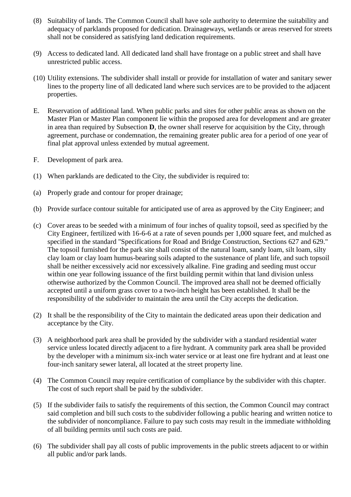- (8) Suitability of lands. The Common Council shall have sole authority to determine the suitability and adequacy of parklands proposed for dedication. Drainageways, wetlands or areas reserved for streets shall not be considered as satisfying land dedication requirements.
- (9) Access to dedicated land. All dedicated land shall have frontage on a public street and shall have unrestricted public access.
- (10) Utility extensions. The subdivider shall install or provide for installation of water and sanitary sewer lines to the property line of all dedicated land where such services are to be provided to the adjacent properties.
- E. Reservation of additional land. When public parks and sites for other public areas as shown on the Master Plan or Master Plan component lie within the proposed area for development and are greater in area than required by Subsection **D**, the owner shall reserve for acquisition by the City, through agreement, purchase or condemnation, the remaining greater public area for a period of one year of final plat approval unless extended by mutual agreement.
- F. Development of park area.
- (1) When parklands are dedicated to the City, the subdivider is required to:
- (a) Properly grade and contour for proper drainage;
- (b) Provide surface contour suitable for anticipated use of area as approved by the City Engineer; and
- (c) Cover areas to be seeded with a minimum of four inches of quality topsoil, seed as specified by the City Engineer, fertilized with 16-6-6 at a rate of seven pounds per 1,000 square feet, and mulched as specified in the standard "Specifications for Road and Bridge Construction, Sections 627 and 629." The topsoil furnished for the park site shall consist of the natural loam, sandy loam, silt loam, silty clay loam or clay loam humus-bearing soils adapted to the sustenance of plant life, and such topsoil shall be neither excessively acid nor excessively alkaline. Fine grading and seeding must occur within one year following issuance of the first building permit within that land division unless otherwise authorized by the Common Council. The improved area shall not be deemed officially accepted until a uniform grass cover to a two-inch height has been established. It shall be the responsibility of the subdivider to maintain the area until the City accepts the dedication.
- (2) It shall be the responsibility of the City to maintain the dedicated areas upon their dedication and acceptance by the City.
- (3) A neighborhood park area shall be provided by the subdivider with a standard residential water service unless located directly adjacent to a fire hydrant. A community park area shall be provided by the developer with a minimum six-inch water service or at least one fire hydrant and at least one four-inch sanitary sewer lateral, all located at the street property line.
- (4) The Common Council may require certification of compliance by the subdivider with this chapter. The cost of such report shall be paid by the subdivider.
- (5) If the subdivider fails to satisfy the requirements of this section, the Common Council may contract said completion and bill such costs to the subdivider following a public hearing and written notice to the subdivider of noncompliance. Failure to pay such costs may result in the immediate withholding of all building permits until such costs are paid.
- (6) The subdivider shall pay all costs of public improvements in the public streets adjacent to or within all public and/or park lands.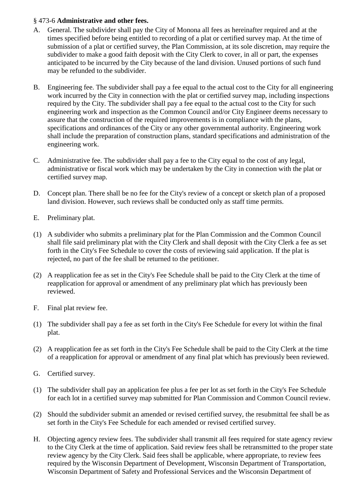### § 473-6 **Administrative and other fees.**

- A. General. The subdivider shall pay the City of Monona all fees as hereinafter required and at the times specified before being entitled to recording of a plat or certified survey map. At the time of submission of a plat or certified survey, the Plan Commission, at its sole discretion, may require the subdivider to make a good faith deposit with the City Clerk to cover, in all or part, the expenses anticipated to be incurred by the City because of the land division. Unused portions of such fund may be refunded to the subdivider.
- B. Engineering fee. The subdivider shall pay a fee equal to the actual cost to the City for all engineering work incurred by the City in connection with the plat or certified survey map, including inspections required by the City. The subdivider shall pay a fee equal to the actual cost to the City for such engineering work and inspection as the Common Council and/or City Engineer deems necessary to assure that the construction of the required improvements is in compliance with the plans, specifications and ordinances of the City or any other governmental authority. Engineering work shall include the preparation of construction plans, standard specifications and administration of the engineering work.
- C. Administrative fee. The subdivider shall pay a fee to the City equal to the cost of any legal, administrative or fiscal work which may be undertaken by the City in connection with the plat or certified survey map.
- D. Concept plan. There shall be no fee for the City's review of a concept or sketch plan of a proposed land division. However, such reviews shall be conducted only as staff time permits.
- E. Preliminary plat.
- (1) A subdivider who submits a preliminary plat for the Plan Commission and the Common Council shall file said preliminary plat with the City Clerk and shall deposit with the City Clerk a fee as set forth in the City's Fee Schedule to cover the costs of reviewing said application. If the plat is rejected, no part of the fee shall be returned to the petitioner.
- (2) A reapplication fee as set in the City's Fee Schedule shall be paid to the City Clerk at the time of reapplication for approval or amendment of any preliminary plat which has previously been reviewed.
- F. Final plat review fee.
- (1) The subdivider shall pay a fee as set forth in the City's Fee Schedule for every lot within the final plat.
- (2) A reapplication fee as set forth in the City's Fee Schedule shall be paid to the City Clerk at the time of a reapplication for approval or amendment of any final plat which has previously been reviewed.
- G. Certified survey.
- (1) The subdivider shall pay an application fee plus a fee per lot as set forth in the City's Fee Schedule for each lot in a certified survey map submitted for Plan Commission and Common Council review.
- (2) Should the subdivider submit an amended or revised certified survey, the resubmittal fee shall be as set forth in the City's Fee Schedule for each amended or revised certified survey.
- H. Objecting agency review fees. The subdivider shall transmit all fees required for state agency review to the City Clerk at the time of application. Said review fees shall be retransmitted to the proper state review agency by the City Clerk. Said fees shall be applicable, where appropriate, to review fees required by the Wisconsin Department of Development, Wisconsin Department of Transportation, Wisconsin Department of Safety and Professional Services and the Wisconsin Department of